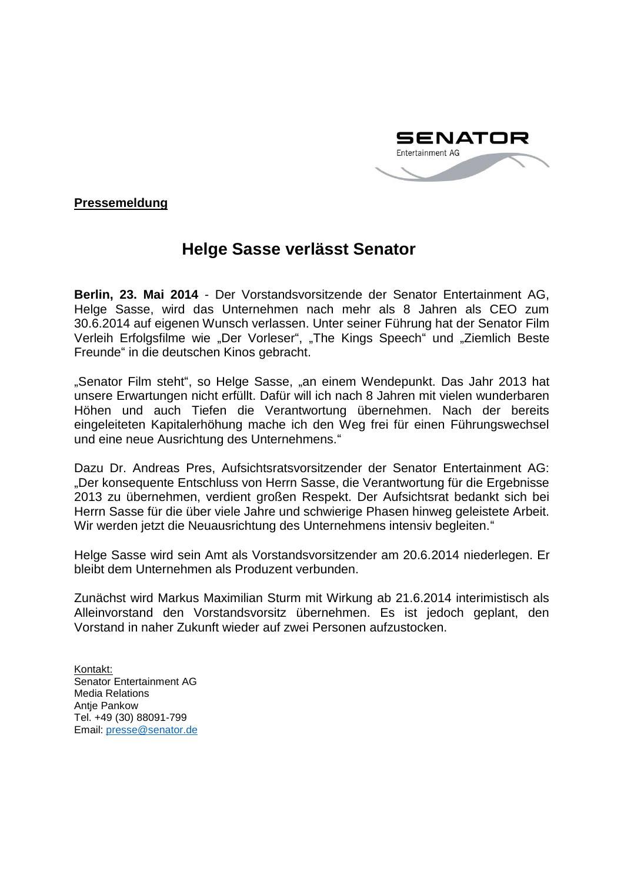

**Pressemeldung**

## **Helge Sasse verlässt Senator**

**Berlin, 23. Mai 2014** - Der Vorstandsvorsitzende der Senator Entertainment AG, Helge Sasse, wird das Unternehmen nach mehr als 8 Jahren als CEO zum 30.6.2014 auf eigenen Wunsch verlassen. Unter seiner Führung hat der Senator Film Verleih Erfolgsfilme wie "Der Vorleser", "The Kings Speech" und "Ziemlich Beste Freunde" in die deutschen Kinos gebracht.

"Senator Film steht", so Helge Sasse, "an einem Wendepunkt. Das Jahr 2013 hat unsere Erwartungen nicht erfüllt. Dafür will ich nach 8 Jahren mit vielen wunderbaren Höhen und auch Tiefen die Verantwortung übernehmen. Nach der bereits eingeleiteten Kapitalerhöhung mache ich den Weg frei für einen Führungswechsel und eine neue Ausrichtung des Unternehmens."

Dazu Dr. Andreas Pres, Aufsichtsratsvorsitzender der Senator Entertainment AG: "Der konsequente Entschluss von Herrn Sasse, die Verantwortung für die Ergebnisse 2013 zu übernehmen, verdient großen Respekt. Der Aufsichtsrat bedankt sich bei Herrn Sasse für die über viele Jahre und schwierige Phasen hinweg geleistete Arbeit. Wir werden jetzt die Neuausrichtung des Unternehmens intensiv begleiten."

Helge Sasse wird sein Amt als Vorstandsvorsitzender am 20.6.2014 niederlegen. Er bleibt dem Unternehmen als Produzent verbunden.

Zunächst wird Markus Maximilian Sturm mit Wirkung ab 21.6.2014 interimistisch als Alleinvorstand den Vorstandsvorsitz übernehmen. Es ist jedoch geplant, den Vorstand in naher Zukunft wieder auf zwei Personen aufzustocken.

Kontakt: Senator Entertainment AG Media Relations Antje Pankow Tel. +49 (30) 88091-799 Email: [presse@senator.de](mailto:presse@senator.de)